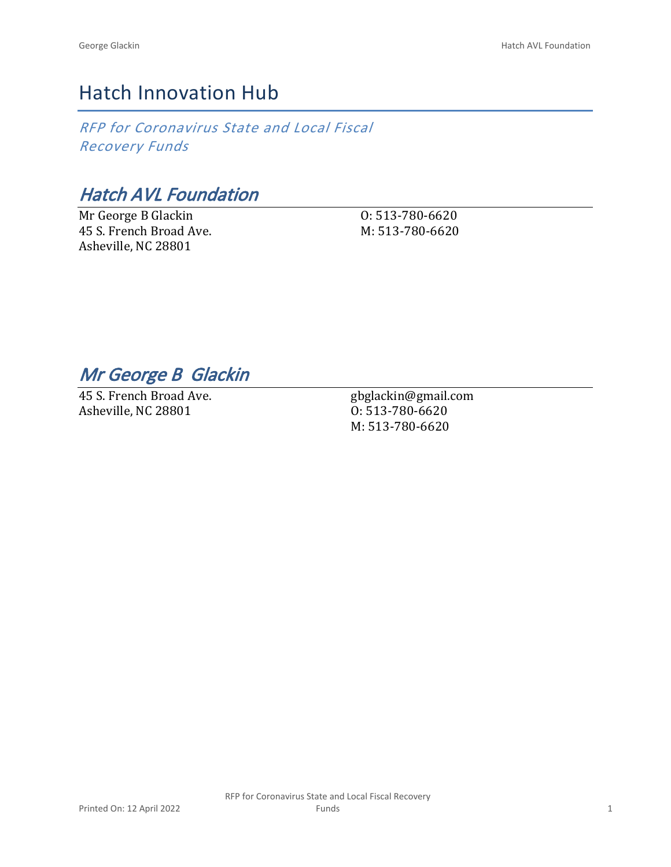## Hatch Innovation Hub

*RFP for Coronavirus State and Local Fiscal Recovery Funds*

*Hatch AVL Foundation*

Mr George B Glackin 45 S. French Broad Ave. Asheville, NC 28801

O: 513-780-6620 M: 513-780-6620

*Mr George B Glackin* 

45 S. French Broad Ave. Asheville, NC 28801

gbglackin@gmail.com O: 513-780-6620 M: 513-780-6620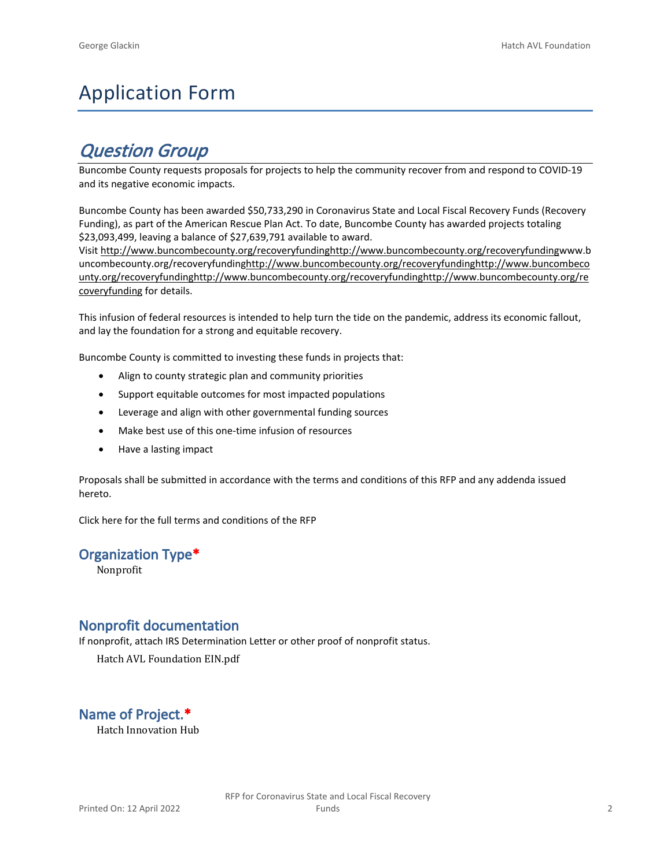# Application Form

## *Question Group*

Buncombe County requests proposals for projects to help the community recover from and respond to COVID-19 and its negative economic impacts.

Buncombe County has been awarded \$50,733,290 in Coronavirus State and Local Fiscal Recovery Funds (Recovery Funding), as part of the American Rescue Plan Act. To date, Buncombe County has awarded projects totaling \$23,093,499, leaving a balance of \$27,639,791 available to award.

Visit [http://www.buncombecounty.org/recoveryfundinghttp://www.buncombecounty.org/recoveryfundingwww.b](http://www.buncombecounty.org/recoveryfunding) [uncombecounty.org/recoveryfundinghttp://www.buncombecounty.org/recoveryfundinghttp://www.buncombeco](http://www.buncombecounty.org/recoveryfunding) [unty.org/recoveryfundinghttp://www.buncombecounty.org/recoveryfundinghttp://www.buncombecounty.org/re](http://www.buncombecounty.org/recoveryfunding) [coveryfunding](http://www.buncombecounty.org/recoveryfunding) for details.

This infusion of federal resources is intended to help turn the tide on the pandemic, address its economic fallout, and lay the foundation for a strong and equitable recovery.

Buncombe County is committed to investing these funds in projects that:

- Align to county strategic plan and community priorities
- Support equitable outcomes for most impacted populations
- Leverage and align with other governmental funding sources
- Make best use of this one-time infusion of resources
- Have a lasting impact

Proposals shall be submitted in accordance with the terms and conditions of this RFP and any addenda issued hereto.

Click [here](https://www.buncombecounty.org/common/purchasing/Buncombe%20Recovery%20Funding%20RFP%202022.pdf) for the full terms and conditions of the RFP

### **Organization Type\***

Nonprofit

### **Nonprofit documentation**

If nonprofit, attach IRS Determination Letter or other proof of nonprofit status.

Hatch AVL Foundation EIN.pdf

## **Name of Project.\***

Hatch Innovation Hub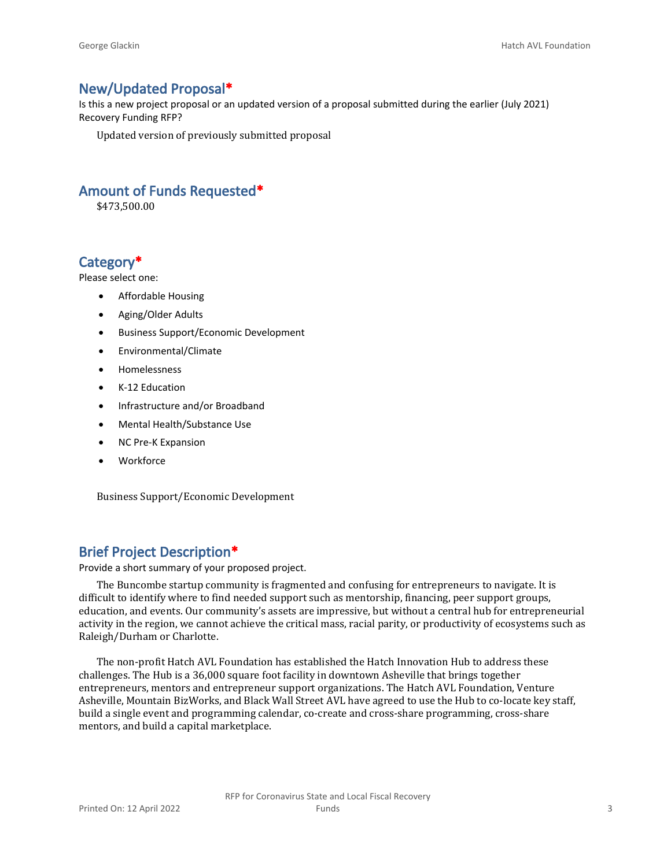#### **New/Updated Proposal\***

Is this a new project proposal or an updated version of a proposal submitted during the earlier (July 2021) Recovery Funding RFP?

Updated version of previously submitted proposal

#### **Amount of Funds Requested\***

\$473,500.00

### **Category\***

Please select one:

- Affordable Housing
- Aging/Older Adults
- Business Support/Economic Development
- Environmental/Climate
- Homelessness
- K-12 Education
- Infrastructure and/or Broadband
- Mental Health/Substance Use
- NC Pre-K Expansion
- Workforce

Business Support/Economic Development

### **Brief Project Description\***

Provide a short summary of your proposed project.

The Buncombe startup community is fragmented and confusing for entrepreneurs to navigate. It is difficult to identify where to find needed support such as mentorship, financing, peer support groups, education, and events. Our community's assets are impressive, but without a central hub for entrepreneurial activity in the region, we cannot achieve the critical mass, racial parity, or productivity of ecosystems such as Raleigh/Durham or Charlotte.

The non-profit Hatch AVL Foundation has established the Hatch Innovation Hub to address these challenges. The Hub is a 36,000 square foot facility in downtown Asheville that brings together entrepreneurs, mentors and entrepreneur support organizations. The Hatch AVL Foundation, Venture Asheville, Mountain BizWorks, and Black Wall Street AVL have agreed to use the Hub to co-locate key staff, build a single event and programming calendar, co-create and cross-share programming, cross-share mentors, and build a capital marketplace.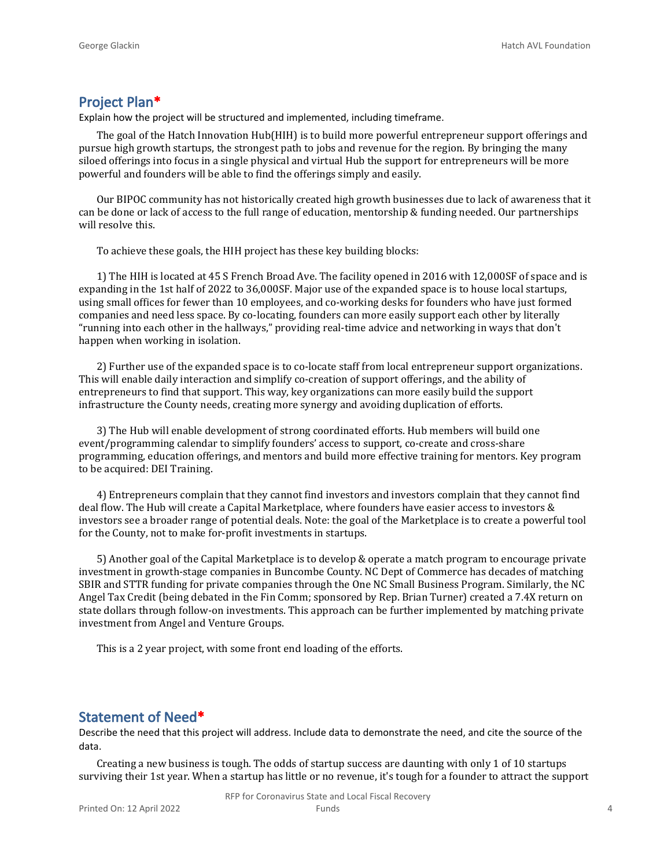#### **Project Plan\***

Explain how the project will be structured and implemented, including timeframe.

The goal of the Hatch Innovation Hub(HIH) is to build more powerful entrepreneur support offerings and pursue high growth startups, the strongest path to jobs and revenue for the region. By bringing the many siloed offerings into focus in a single physical and virtual Hub the support for entrepreneurs will be more powerful and founders will be able to find the offerings simply and easily.

Our BIPOC community has not historically created high growth businesses due to lack of awareness that it can be done or lack of access to the full range of education, mentorship & funding needed. Our partnerships will resolve this.

To achieve these goals, the HIH project has these key building blocks:

1) The HIH is located at 45 S French Broad Ave. The facility opened in 2016 with 12,000SF of space and is expanding in the 1st half of 2022 to 36,000SF. Major use of the expanded space is to house local startups, using small offices for fewer than 10 employees, and co-working desks for founders who have just formed companies and need less space. By co-locating, founders can more easily support each other by literally "running into each other in the hallways," providing real-time advice and networking in ways that don't happen when working in isolation.

2) Further use of the expanded space is to co-locate staff from local entrepreneur support organizations. This will enable daily interaction and simplify co-creation of support offerings, and the ability of entrepreneurs to find that support. This way, key organizations can more easily build the support infrastructure the County needs, creating more synergy and avoiding duplication of efforts.

3) The Hub will enable development of strong coordinated efforts. Hub members will build one event/programming calendar to simplify founders' access to support, co-create and cross-share programming, education offerings, and mentors and build more effective training for mentors. Key program to be acquired: DEI Training.

4) Entrepreneurs complain that they cannot find investors and investors complain that they cannot find deal flow. The Hub will create a Capital Marketplace, where founders have easier access to investors & investors see a broader range of potential deals. Note: the goal of the Marketplace is to create a powerful tool for the County, not to make for-profit investments in startups.

5) Another goal of the Capital Marketplace is to develop & operate a match program to encourage private investment in growth-stage companies in Buncombe County. NC Dept of Commerce has decades of matching SBIR and STTR funding for private companies through the One NC Small Business Program. Similarly, the NC Angel Tax Credit (being debated in the Fin Comm; sponsored by Rep. Brian Turner) created a 7.4X return on state dollars through follow-on investments. This approach can be further implemented by matching private investment from Angel and Venture Groups.

This is a 2 year project, with some front end loading of the efforts.

#### **Statement of Need\***

Describe the need that this project will address. Include data to demonstrate the need, and cite the source of the data.

Creating a new business is tough. The odds of startup success are daunting with only 1 of 10 startups surviving their 1st year. When a startup has little or no revenue, it's tough for a founder to attract the support

RFP for Coronavirus State and Local Fiscal Recovery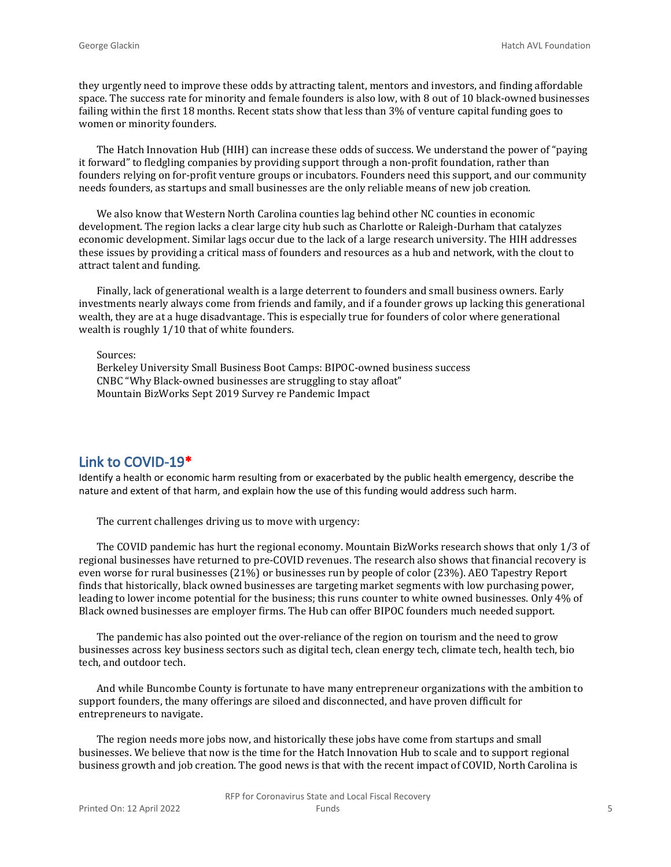they urgently need to improve these odds by attracting talent, mentors and investors, and finding affordable space. The success rate for minority and female founders is also low, with 8 out of 10 black-owned businesses failing within the first 18 months. Recent stats show that less than 3% of venture capital funding goes to women or minority founders.

The Hatch Innovation Hub (HIH) can increase these odds of success. We understand the power of "paying it forward" to fledgling companies by providing support through a non-profit foundation, rather than founders relying on for-profit venture groups or incubators. Founders need this support, and our community needs founders, as startups and small businesses are the only reliable means of new job creation.

We also know that Western North Carolina counties lag behind other NC counties in economic development. The region lacks a clear large city hub such as Charlotte or Raleigh-Durham that catalyzes economic development. Similar lags occur due to the lack of a large research university. The HIH addresses these issues by providing a critical mass of founders and resources as a hub and network, with the clout to attract talent and funding.

Finally, lack of generational wealth is a large deterrent to founders and small business owners. Early investments nearly always come from friends and family, and if a founder grows up lacking this generational wealth, they are at a huge disadvantage. This is especially true for founders of color where generational wealth is roughly 1/10 that of white founders.

Sources:

Berkeley University Small Business Boot Camps: BIPOC-owned business success CNBC "Why Black-owned businesses are struggling to stay afloat" Mountain BizWorks Sept 2019 Survey re Pandemic Impact

#### **Link to COVID-19\***

Identify a health or economic harm resulting from or exacerbated by the public health emergency, describe the nature and extent of that harm, and explain how the use of this funding would address such harm.

The current challenges driving us to move with urgency:

The COVID pandemic has hurt the regional economy. Mountain BizWorks research shows that only 1/3 of regional businesses have returned to pre-COVID revenues. The research also shows that financial recovery is even worse for rural businesses (21%) or businesses run by people of color (23%). AEO Tapestry Report finds that historically, black owned businesses are targeting market segments with low purchasing power, leading to lower income potential for the business; this runs counter to white owned businesses. Only 4% of Black owned businesses are employer firms. The Hub can offer BIPOC founders much needed support.

The pandemic has also pointed out the over-reliance of the region on tourism and the need to grow businesses across key business sectors such as digital tech, clean energy tech, climate tech, health tech, bio tech, and outdoor tech.

And while Buncombe County is fortunate to have many entrepreneur organizations with the ambition to support founders, the many offerings are siloed and disconnected, and have proven difficult for entrepreneurs to navigate.

The region needs more jobs now, and historically these jobs have come from startups and small businesses. We believe that now is the time for the Hatch Innovation Hub to scale and to support regional business growth and job creation. The good news is that with the recent impact of COVID, North Carolina is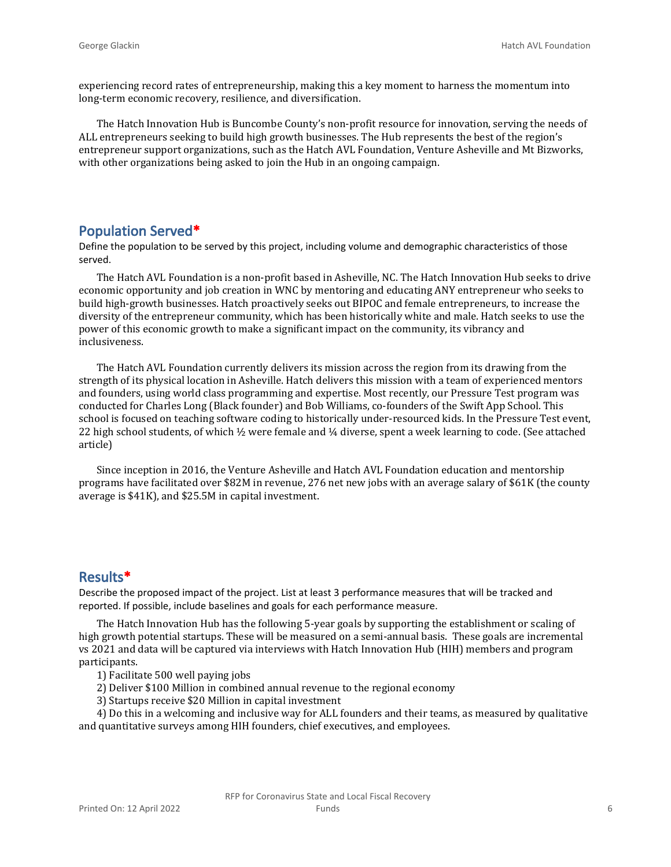experiencing record rates of entrepreneurship, making this a key moment to harness the momentum into long-term economic recovery, resilience, and diversification.

The Hatch Innovation Hub is Buncombe County's non-profit resource for innovation, serving the needs of ALL entrepreneurs seeking to build high growth businesses. The Hub represents the best of the region's entrepreneur support organizations, such as the Hatch AVL Foundation, Venture Asheville and Mt Bizworks, with other organizations being asked to join the Hub in an ongoing campaign.

#### **Population Served\***

Define the population to be served by this project, including volume and demographic characteristics of those served.

The Hatch AVL Foundation is a non-profit based in Asheville, NC. The Hatch Innovation Hub seeks to drive economic opportunity and job creation in WNC by mentoring and educating ANY entrepreneur who seeks to build high-growth businesses. Hatch proactively seeks out BIPOC and female entrepreneurs, to increase the diversity of the entrepreneur community, which has been historically white and male. Hatch seeks to use the power of this economic growth to make a significant impact on the community, its vibrancy and inclusiveness.

The Hatch AVL Foundation currently delivers its mission across the region from its drawing from the strength of its physical location in Asheville. Hatch delivers this mission with a team of experienced mentors and founders, using world class programming and expertise. Most recently, our Pressure Test program was conducted for Charles Long (Black founder) and Bob Williams, co-founders of the Swift App School. This school is focused on teaching software coding to historically under-resourced kids. In the Pressure Test event, 22 high school students, of which ½ were female and ¼ diverse, spent a week learning to code. (See attached article)

Since inception in 2016, the Venture Asheville and Hatch AVL Foundation education and mentorship programs have facilitated over \$82M in revenue, 276 net new jobs with an average salary of \$61K (the county average is \$41K), and \$25.5M in capital investment.

#### **Results\***

Describe the proposed impact of the project. List at least 3 performance measures that will be tracked and reported. If possible, include baselines and goals for each performance measure.

The Hatch Innovation Hub has the following 5-year goals by supporting the establishment or scaling of high growth potential startups. These will be measured on a semi-annual basis. These goals are incremental vs 2021 and data will be captured via interviews with Hatch Innovation Hub (HIH) members and program participants.

1) Facilitate 500 well paying jobs

- 2) Deliver \$100 Million in combined annual revenue to the regional economy
- 3) Startups receive \$20 Million in capital investment

4) Do this in a welcoming and inclusive way for ALL founders and their teams, as measured by qualitative and quantitative surveys among HIH founders, chief executives, and employees.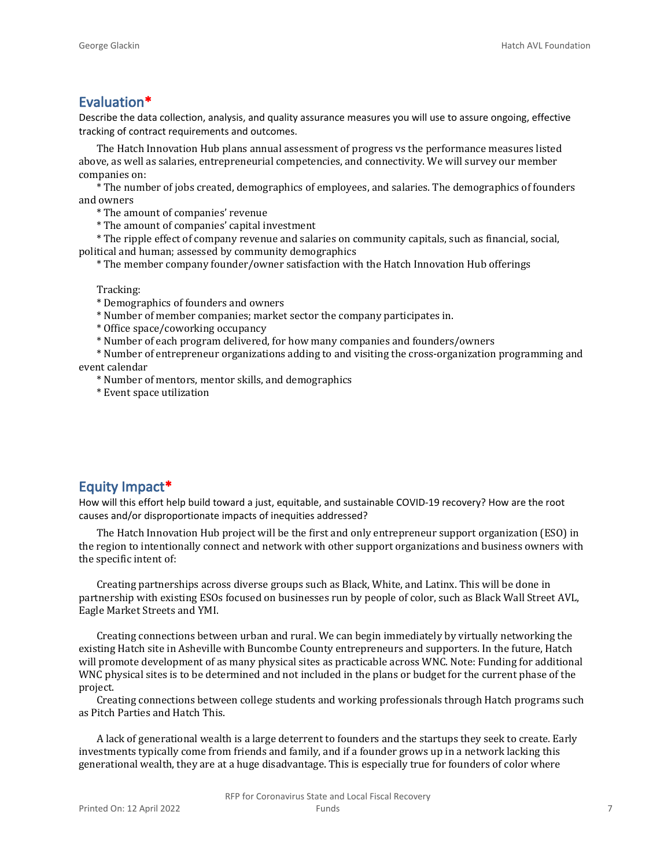#### **Evaluation\***

Describe the data collection, analysis, and quality assurance measures you will use to assure ongoing, effective tracking of contract requirements and outcomes.

The Hatch Innovation Hub plans annual assessment of progress vs the performance measures listed above, as well as salaries, entrepreneurial competencies, and connectivity. We will survey our member companies on:

\* The number of jobs created, demographics of employees, and salaries. The demographics of founders and owners

\* The amount of companies' revenue

\* The amount of companies' capital investment

\* The ripple effect of company revenue and salaries on community capitals, such as financial, social, political and human; assessed by community demographics

\* The member company founder/owner satisfaction with the Hatch Innovation Hub offerings

Tracking:

- \* Demographics of founders and owners
- \* Number of member companies; market sector the company participates in.
- \* Office space/coworking occupancy
- \* Number of each program delivered, for how many companies and founders/owners

\* Number of entrepreneur organizations adding to and visiting the cross-organization programming and event calendar

\* Number of mentors, mentor skills, and demographics

\* Event space utilization

#### **Equity Impact\***

How will this effort help build toward a just, equitable, and sustainable COVID-19 recovery? How are the root causes and/or disproportionate impacts of inequities addressed?

The Hatch Innovation Hub project will be the first and only entrepreneur support organization (ESO) in the region to intentionally connect and network with other support organizations and business owners with the specific intent of:

Creating partnerships across diverse groups such as Black, White, and Latinx. This will be done in partnership with existing ESOs focused on businesses run by people of color, such as Black Wall Street AVL, Eagle Market Streets and YMI.

Creating connections between urban and rural. We can begin immediately by virtually networking the existing Hatch site in Asheville with Buncombe County entrepreneurs and supporters. In the future, Hatch will promote development of as many physical sites as practicable across WNC. Note: Funding for additional WNC physical sites is to be determined and not included in the plans or budget for the current phase of the project.

Creating connections between college students and working professionals through Hatch programs such as Pitch Parties and Hatch This.

A lack of generational wealth is a large deterrent to founders and the startups they seek to create. Early investments typically come from friends and family, and if a founder grows up in a network lacking this generational wealth, they are at a huge disadvantage. This is especially true for founders of color where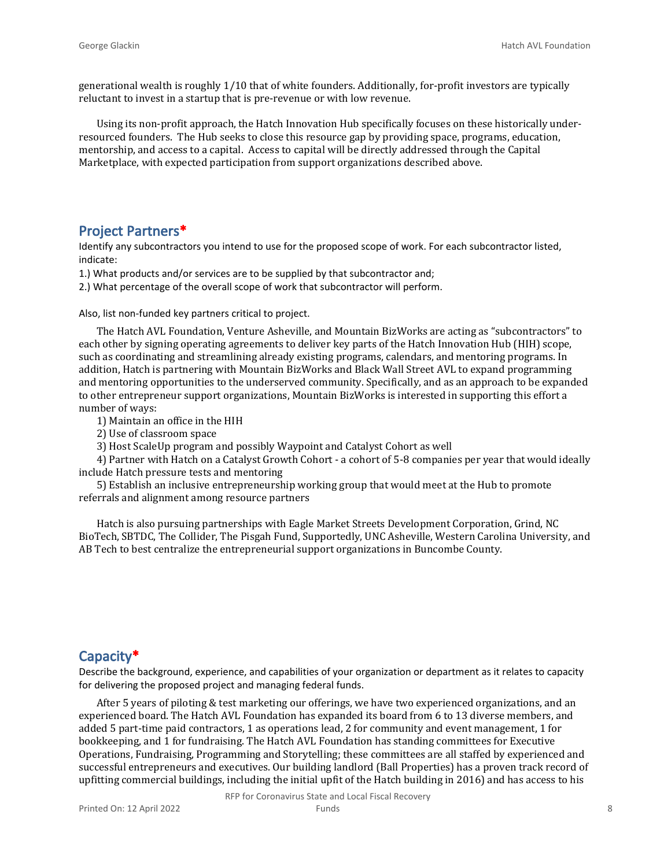generational wealth is roughly 1/10 that of white founders. Additionally, for-profit investors are typically reluctant to invest in a startup that is pre-revenue or with low revenue.

Using its non-profit approach, the Hatch Innovation Hub specifically focuses on these historically underresourced founders. The Hub seeks to close this resource gap by providing space, programs, education, mentorship, and access to a capital. Access to capital will be directly addressed through the Capital Marketplace, with expected participation from support organizations described above.

#### **Project Partners\***

Identify any subcontractors you intend to use for the proposed scope of work. For each subcontractor listed, indicate:

1.) What products and/or services are to be supplied by that subcontractor and;

2.) What percentage of the overall scope of work that subcontractor will perform.

Also, list non-funded key partners critical to project.

The Hatch AVL Foundation, Venture Asheville, and Mountain BizWorks are acting as "subcontractors" to each other by signing operating agreements to deliver key parts of the Hatch Innovation Hub (HIH) scope, such as coordinating and streamlining already existing programs, calendars, and mentoring programs. In addition, Hatch is partnering with Mountain BizWorks and Black Wall Street AVL to expand programming and mentoring opportunities to the underserved community. Specifically, and as an approach to be expanded to other entrepreneur support organizations, Mountain BizWorks is interested in supporting this effort a number of ways:

1) Maintain an office in the HIH

2) Use of classroom space

3) Host ScaleUp program and possibly Waypoint and Catalyst Cohort as well

4) Partner with Hatch on a Catalyst Growth Cohort - a cohort of 5-8 companies per year that would ideally include Hatch pressure tests and mentoring

5) Establish an inclusive entrepreneurship working group that would meet at the Hub to promote referrals and alignment among resource partners

Hatch is also pursuing partnerships with Eagle Market Streets Development Corporation, Grind, NC BioTech, SBTDC, The Collider, The Pisgah Fund, Supportedly, UNC Asheville, Western Carolina University, and AB Tech to best centralize the entrepreneurial support organizations in Buncombe County.

#### **Capacity\***

Describe the background, experience, and capabilities of your organization or department as it relates to capacity for delivering the proposed project and managing federal funds.

After 5 years of piloting & test marketing our offerings, we have two experienced organizations, and an experienced board. The Hatch AVL Foundation has expanded its board from 6 to 13 diverse members, and added 5 part-time paid contractors, 1 as operations lead, 2 for community and event management, 1 for bookkeeping, and 1 for fundraising. The Hatch AVL Foundation has standing committees for Executive Operations, Fundraising, Programming and Storytelling; these committees are all staffed by experienced and successful entrepreneurs and executives. Our building landlord (Ball Properties) has a proven track record of upfitting commercial buildings, including the initial upfit of the Hatch building in 2016) and has access to his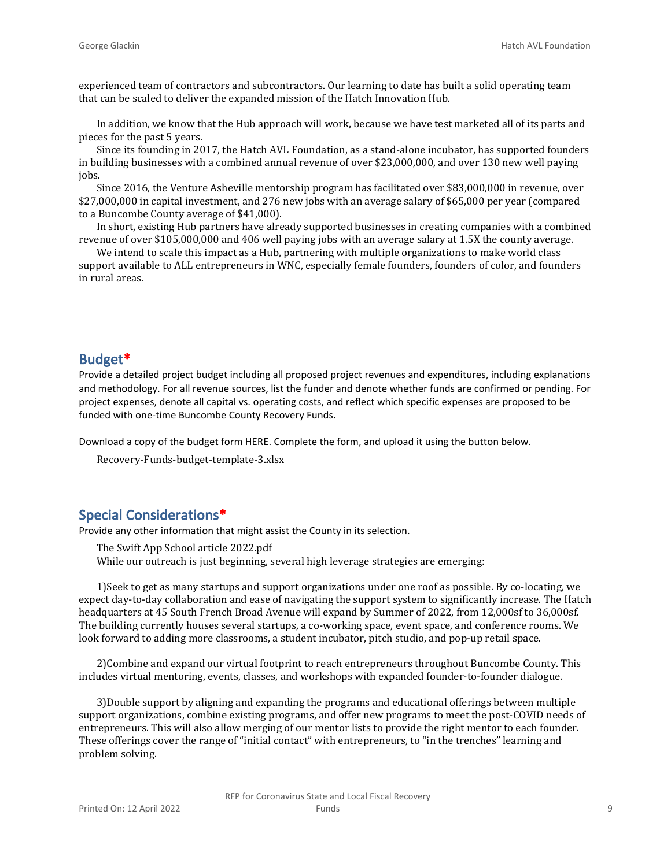experienced team of contractors and subcontractors. Our learning to date has built a solid operating team that can be scaled to deliver the expanded mission of the Hatch Innovation Hub.

In addition, we know that the Hub approach will work, because we have test marketed all of its parts and pieces for the past 5 years.

Since its founding in 2017, the Hatch AVL Foundation, as a stand-alone incubator, has supported founders in building businesses with a combined annual revenue of over \$23,000,000, and over 130 new well paying jobs.

Since 2016, the Venture Asheville mentorship program has facilitated over \$83,000,000 in revenue, over \$27,000,000 in capital investment, and 276 new jobs with an average salary of \$65,000 per year (compared to a Buncombe County average of \$41,000).

In short, existing Hub partners have already supported businesses in creating companies with a combined revenue of over \$105,000,000 and 406 well paying jobs with an average salary at 1.5X the county average.

We intend to scale this impact as a Hub, partnering with multiple organizations to make world class support available to ALL entrepreneurs in WNC, especially female founders, founders of color, and founders in rural areas.

#### **Budget\***

Provide a detailed project budget including all proposed project revenues and expenditures, including explanations and methodology. For all revenue sources, list the funder and denote whether funds are confirmed or pending. For project expenses, denote all capital vs. operating costs, and reflect which specific expenses are proposed to be funded with one-time Buncombe County Recovery Funds.

Download a copy of the budget form [HERE](https://buncombecounty.org/common/community-investment/grants/early-childhood-education/Recovery-Funds-budget-template.xlsx). Complete the form, and upload it using the button below.

Recovery-Funds-budget-template-3.xlsx

### **Special Considerations\***

Provide any other information that might assist the County in its selection.

The Swift App School article 2022.pdf While our outreach is just beginning, several high leverage strategies are emerging:

1)Seek to get as many startups and support organizations under one roof as possible. By co-locating, we expect day-to-day collaboration and ease of navigating the support system to significantly increase. The Hatch headquarters at 45 South French Broad Avenue will expand by Summer of 2022, from 12,000sf to 36,000sf. The building currently houses several startups, a co-working space, event space, and conference rooms. We look forward to adding more classrooms, a student incubator, pitch studio, and pop-up retail space.

2)Combine and expand our virtual footprint to reach entrepreneurs throughout Buncombe County. This includes virtual mentoring, events, classes, and workshops with expanded founder-to-founder dialogue.

3)Double support by aligning and expanding the programs and educational offerings between multiple support organizations, combine existing programs, and offer new programs to meet the post-COVID needs of entrepreneurs. This will also allow merging of our mentor lists to provide the right mentor to each founder. These offerings cover the range of "initial contact" with entrepreneurs, to "in the trenches" learning and problem solving.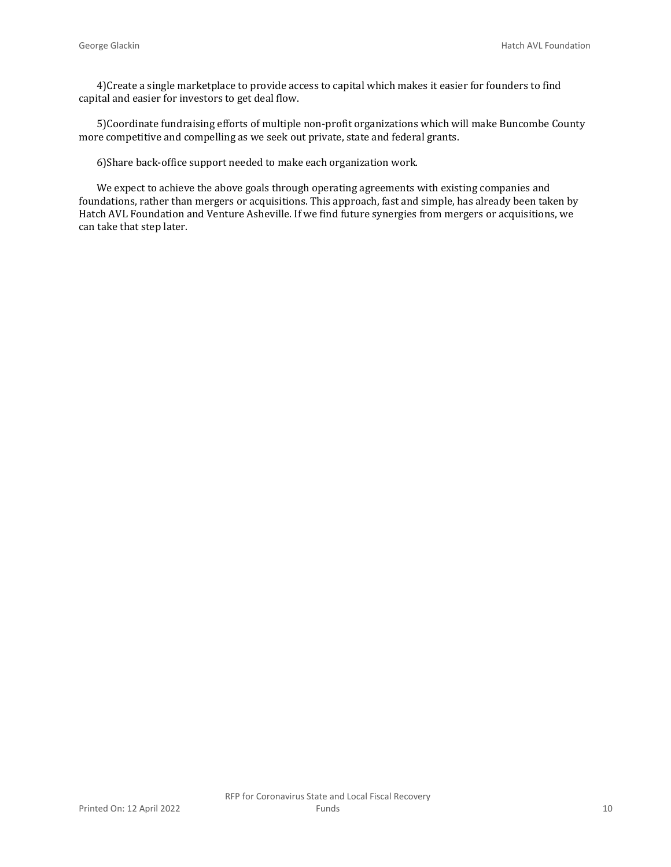4)Create a single marketplace to provide access to capital which makes it easier for founders to find capital and easier for investors to get deal flow.

5)Coordinate fundraising efforts of multiple non-profit organizations which will make Buncombe County more competitive and compelling as we seek out private, state and federal grants.

6)Share back-office support needed to make each organization work.

We expect to achieve the above goals through operating agreements with existing companies and foundations, rather than mergers or acquisitions. This approach, fast and simple, has already been taken by Hatch AVL Foundation and Venture Asheville. If we find future synergies from mergers or acquisitions, we can take that step later.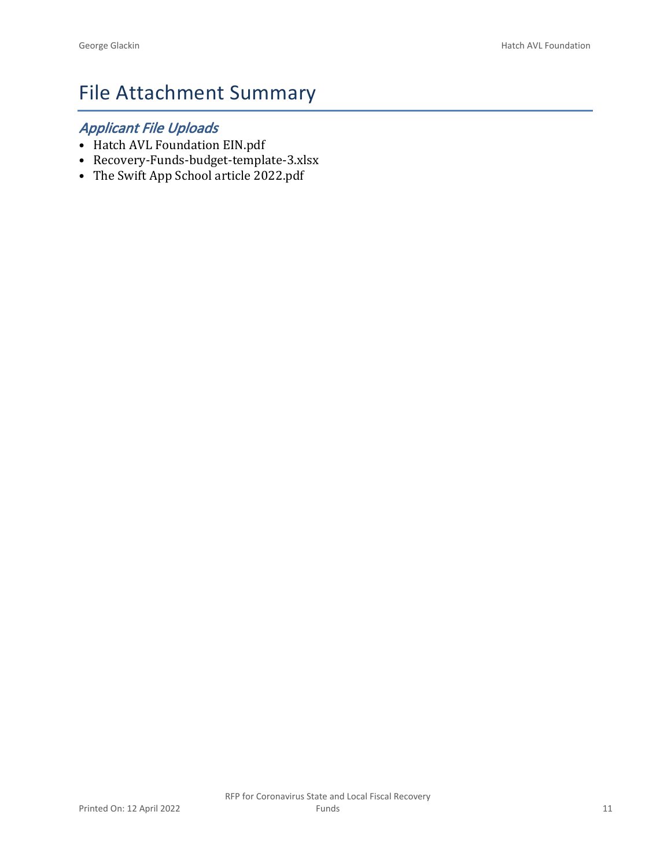## File Attachment Summary

## *Applicant File Uploads*

- Hatch AVL Foundation EIN.pdf
- Recovery-Funds-budget-template-3.xlsx
- The Swift App School article 2022.pdf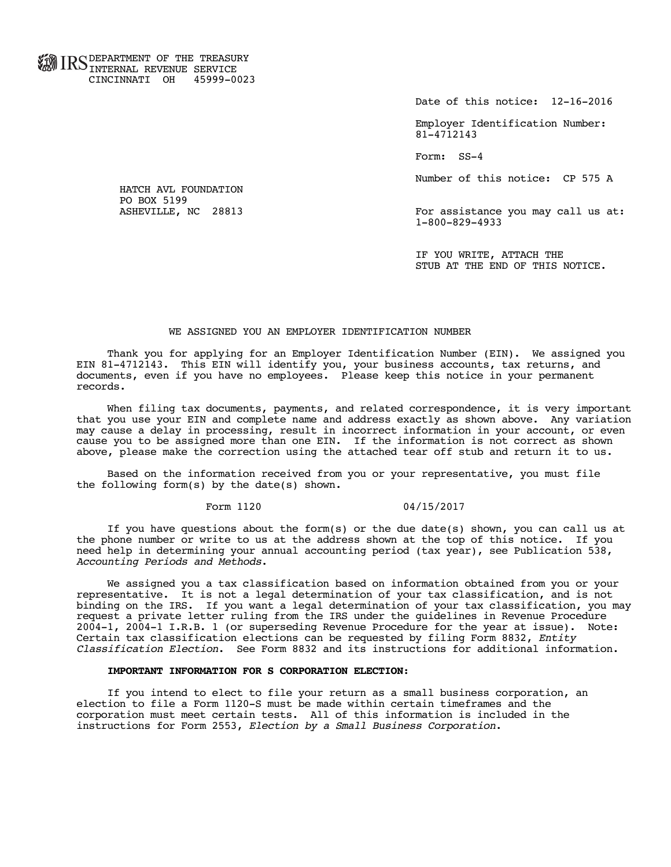**FOR TID C** DEPARTMENT OF THE TREASURY **WWW IIND INTERNAL REVENUE SERVICE** CINCINNATI OH 45999-0023

Date of this notice: 12-16-2016

 Employer Identification Number: 81-4712143

Form: SS-4

Number of this notice: CP 575 A

For assistance you may call us at: 1-800-829-4933

 IF YOU WRITE, ATTACH THE STUB AT THE END OF THIS NOTICE.

#### WE ASSIGNED YOU AN EMPLOYER IDENTIFICATION NUMBER

 Thank you for applying for an Employer Identification Number (EIN). We assigned you EIN 81-4712143. This EIN will identify you, your business accounts, tax returns, and documents, even if you have no employees. Please keep this notice in your permanent records.

 When filing tax documents, payments, and related correspondence, it is very important that you use your EIN and complete name and address exactly as shown above. Any variation may cause a delay in processing, result in incorrect information in your account, or even cause you to be assigned more than one EIN. If the information is not correct as shown above, please make the correction using the attached tear off stub and return it to us.

 Based on the information received from you or your representative, you must file the following form(s) by the date(s) shown.

#### Form 1120 04/15/2017

 If you have questions about the form(s) or the due date(s) shown, you can call us at the phone number or write to us at the address shown at the top of this notice. If you need help in determining your annual accounting period (tax year), see Publication 538, *Accounting Periods and Methods*.

 We assigned you a tax classification based on information obtained from you or your representative. It is not a legal determination of your tax classification, and is not binding on the IRS. If you want a legal determination of your tax classification, you may request a private letter ruling from the IRS under the guidelines in Revenue Procedure 2004-1, 2004-1 I.R.B. 1 (or superseding Revenue Procedure for the year at issue). Note: Certain tax classification elections can be requested by filing Form 8832, *Entity Classification Election*. See Form 8832 and its instructions for additional information.

#### **IMPORTANT INFORMATION FOR S CORPORATION ELECTION**:

 If you intend to elect to file your return as a small business corporation, an election to file a Form 1120-S must be made within certain timeframes and the corporation must meet certain tests. All of this information is included in the instructions for Form 2553, *Election by a Small Business Corporation*.

 HATCH AVL FOUNDATION PO BOX 5199<br>ASHEVILLE, NC 28813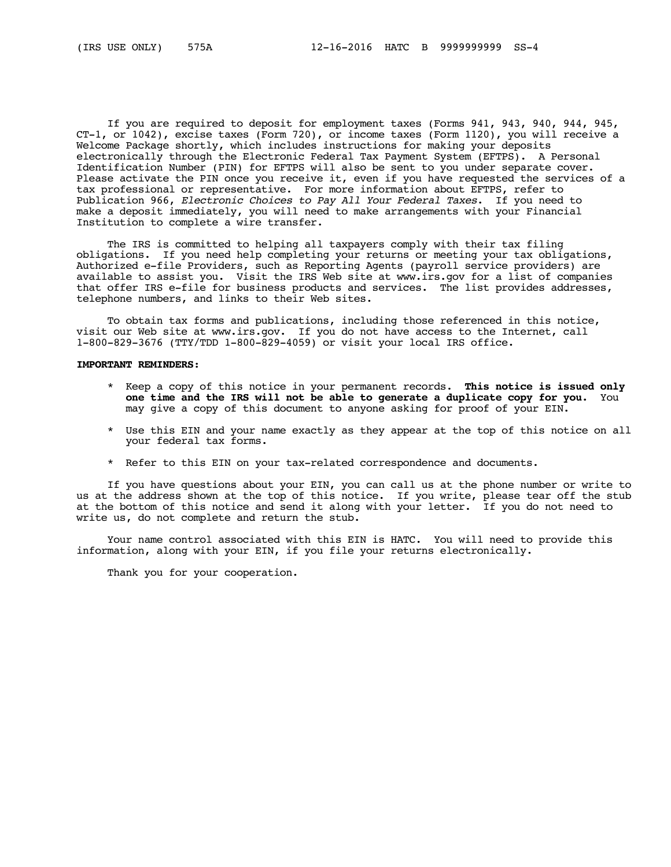If you are required to deposit for employment taxes (Forms 941, 943, 940, 944, 945, CT-1, or 1042), excise taxes (Form 720), or income taxes (Form 1120), you will receive a Welcome Package shortly, which includes instructions for making your deposits electronically through the Electronic Federal Tax Payment System (EFTPS). A Personal Identification Number (PIN) for EFTPS will also be sent to you under separate cover. Please activate the PIN once you receive it, even if you have requested the services of a tax professional or representative. For more information about EFTPS, refer to Publication 966, *Electronic Choices to Pay All Your Federal Taxes*. If you need to make a deposit immediately, you will need to make arrangements with your Financial Institution to complete a wire transfer.

 The IRS is committed to helping all taxpayers comply with their tax filing obligations. If you need help completing your returns or meeting your tax obligations, Authorized e-file Providers, such as Reporting Agents (payroll service providers) are available to assist you. Visit the IRS Web site at www.irs.gov for a list of companies that offer IRS e-file for business products and services. The list provides addresses, telephone numbers, and links to their Web sites.

 To obtain tax forms and publications, including those referenced in this notice, visit our Web site at www.irs.gov. If you do not have access to the Internet, call 1-800-829-3676 (TTY/TDD 1-800-829-4059) or visit your local IRS office.

#### **IMPORTANT REMINDERS**:

- \* Keep a copy of this notice in your permanent records. **This notice is issued only one time and the IRS will not be able to generate a duplicate copy for you.** You may give a copy of this document to anyone asking for proof of your EIN.
- \* Use this EIN and your name exactly as they appear at the top of this notice on all your federal tax forms.
- \* Refer to this EIN on your tax-related correspondence and documents.

 If you have questions about your EIN, you can call us at the phone number or write to us at the address shown at the top of this notice. If you write, please tear off the stub at the bottom of this notice and send it along with your letter. If you do not need to write us, do not complete and return the stub.

Your name control associated with this EIN is HATC. You will need to provide this information, along with your EIN, if you file your returns electronically.

Thank you for your cooperation.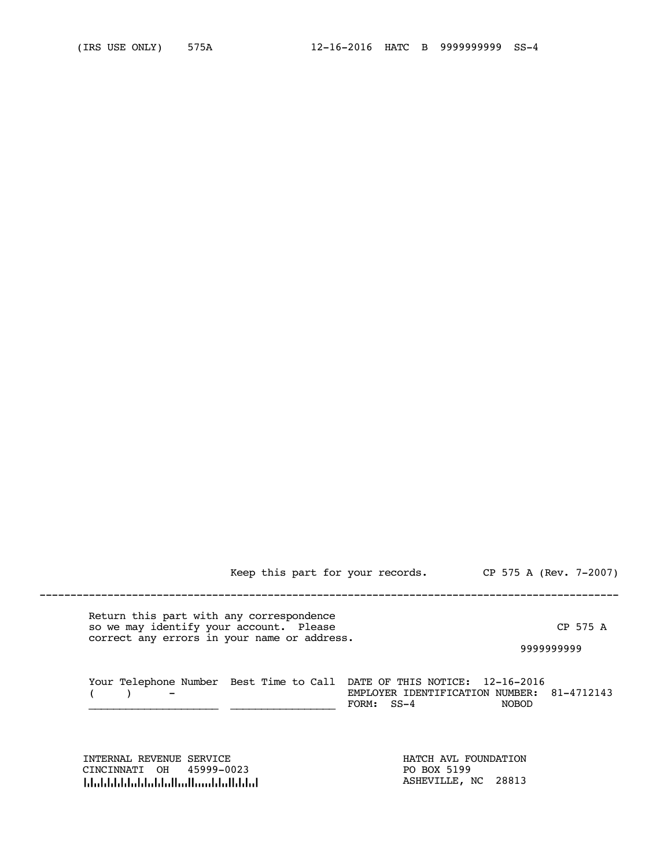Keep this part for your records. CP 575 A (Rev. 7-2007)

----------------------------------------------------------------------------------------------

 Return this part with any correspondence so we may identify your account. Please The CP 575 A correct any errors in your name or address.

9999999999

| Your Telephone Number Best Time to Call DATE OF THIS NOTICE: 12-16-2016 |            |                                            |
|-------------------------------------------------------------------------|------------|--------------------------------------------|
| $\sim$ $-$                                                              |            | EMPLOYER IDENTIFICATION NUMBER: 81-4712143 |
|                                                                         | FORM: SS-4 | <b>NOBOD</b>                               |

INTERNAL REVENUE SERVICE **HATCH AVL FOUNDATION**  CINCINNATI OH 45999-0023 PO BOX 5199 لمان المسابق المسابق المسابق المسابق المسابق المسابق المسابق المسابق المسابق المسابق المسابق المسابق المسابق ا<br>المسابق المسابق المسابق المسابق المسابق المسابق المسابق المسابق المسابق المسابق المسابق المسابق المسابق المساب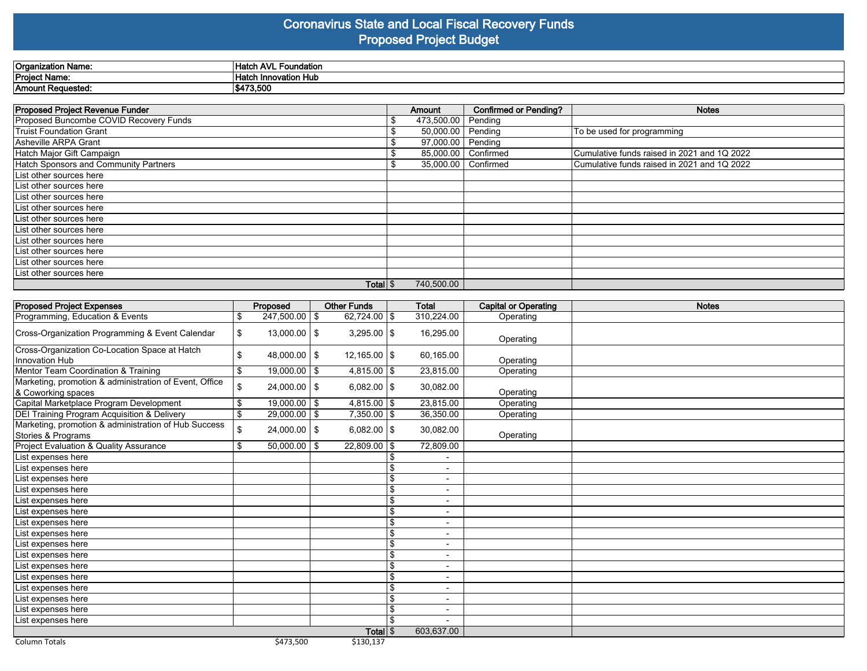#### **Coronavirus State and Local Fiscal Recovery Funds Proposed Project Budget**

| Organization Name: | .<br>`Hatu<br>` AVL<br>Foundation |  |
|--------------------|-----------------------------------|--|
| Project Name:      | Hatc<br><b>Innovation HuL</b>     |  |
| Amount Requested:  | \$473.500                         |  |

| <b>Proposed Project Revenue Funder</b> |   | Amount                | Confirmed or Pending? | <b>Notes</b>                                |
|----------------------------------------|---|-----------------------|-----------------------|---------------------------------------------|
| Proposed Buncombe COVID Recovery Funds | S | 473,500.00            | Pending               |                                             |
| Truist Foundation Grant                |   | 50,000.00             | Pending               | To be used for programming                  |
| Asheville ARPA Grant                   |   | 97,000.00             | Pending               |                                             |
| Hatch Major Gift Campaign              |   | 85,000.00   Confirmed |                       | Cumulative funds raised in 2021 and 1Q 2022 |
| Hatch Sponsors and Community Partners  | ъ | 35,000.00   Confirmed |                       | Cumulative funds raised in 2021 and 1Q 2022 |
| List other sources here                |   |                       |                       |                                             |
| List other sources here                |   |                       |                       |                                             |
| List other sources here                |   |                       |                       |                                             |
| List other sources here                |   |                       |                       |                                             |
| List other sources here                |   |                       |                       |                                             |
| List other sources here                |   |                       |                       |                                             |
| List other sources here                |   |                       |                       |                                             |
| List other sources here                |   |                       |                       |                                             |
| List other sources here                |   |                       |                       |                                             |
| List other sources here                |   |                       |                       |                                             |
| Total $\frac{1}{3}$                    |   | 740,500.00            |                       |                                             |

| <b>Proposed Project Expenses</b>                                             | Proposed                | <b>Other Funds</b>  | <b>Total</b>             | <b>Capital or Operating</b> | <b>Notes</b> |
|------------------------------------------------------------------------------|-------------------------|---------------------|--------------------------|-----------------------------|--------------|
| Programming, Education & Events                                              | \$<br>$247,500.00$   \$ | 62,724.00 \$        | 310,224.00               | Operating                   |              |
| Cross-Organization Programming & Event Calendar                              | \$<br>$13,000.00$   \$  | $3,295.00$ \\$      | 16,295.00                | Operating                   |              |
| Cross-Organization Co-Location Space at Hatch<br>Innovation Hub              | \$<br>$48,000.00$   \$  | $12,165.00$ \\$     | 60,165.00                | Operating                   |              |
| Mentor Team Coordination & Training                                          | \$<br>$19,000.00$   \$  | $4,815.00$ \\$      | 23,815.00                | Operating                   |              |
| Marketing, promotion & administration of Event, Office<br>& Coworking spaces | \$<br>$24,000.00$   \$  | $6,082.00$ \\$      | 30,082.00                | Operating                   |              |
| Capital Marketplace Program Development                                      | \$<br>$19,000.00$ \$    | $4,815.00$ \$       | 23,815.00                | Operating                   |              |
| DEI Training Program Acquisition & Delivery                                  | \$<br>$29,000.00$   \$  | $7,350.00$ \$       | 36,350.00                | Operating                   |              |
| Marketing, promotion & administration of Hub Success<br>Stories & Programs   | \$<br>$24,000.00$   \$  | $6,082.00$ \\$      | 30,082.00                | Operating                   |              |
| Project Evaluation & Quality Assurance                                       | \$<br>$50,000.00$   \$  | $22,809.00$ \\$     | 72,809.00                |                             |              |
| List expenses here                                                           |                         |                     |                          |                             |              |
| List expenses here                                                           |                         |                     | $\overline{\phantom{a}}$ |                             |              |
| List expenses here                                                           |                         |                     | $\overline{\phantom{0}}$ |                             |              |
| List expenses here                                                           |                         |                     |                          |                             |              |
| List expenses here                                                           |                         |                     | \$<br>$\blacksquare$     |                             |              |
| List expenses here                                                           |                         |                     | \$                       |                             |              |
| List expenses here                                                           |                         |                     |                          |                             |              |
| List expenses here                                                           |                         |                     | $\overline{\phantom{a}}$ |                             |              |
| List expenses here                                                           |                         |                     | $\blacksquare$           |                             |              |
| List expenses here                                                           |                         |                     | $\overline{\phantom{0}}$ |                             |              |
| List expenses here                                                           |                         |                     |                          |                             |              |
| List expenses here                                                           |                         |                     |                          |                             |              |
| List expenses here                                                           |                         |                     |                          |                             |              |
| List expenses here                                                           |                         |                     |                          |                             |              |
| List expenses here                                                           |                         |                     | $\overline{\phantom{0}}$ |                             |              |
| List expenses here                                                           |                         |                     |                          |                             |              |
|                                                                              |                         | Total $\frac{1}{3}$ | 603.637.00               |                             |              |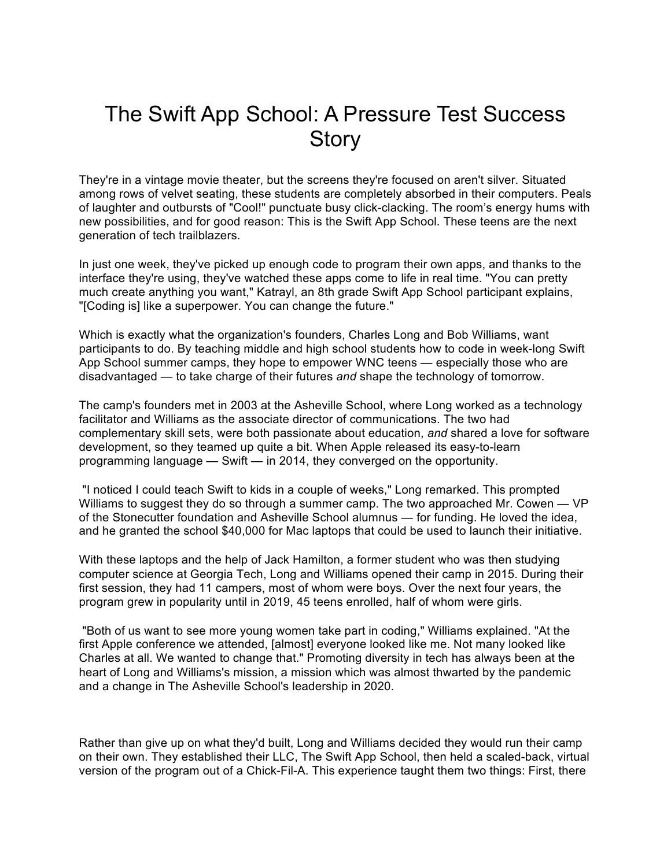# The Swift App School: A Pressure Test Success **Story**

They're in a vintage movie theater, but the screens they're focused on aren't silver. Situated among rows of velvet seating, these students are completely absorbed in their computers. Peals of laughter and outbursts of "Cool!" punctuate busy click-clacking. The room's energy hums with new possibilities, and for good reason: This is the Swift App School. These teens are the next generation of tech trailblazers.

In just one week, they've picked up enough code to program their own apps, and thanks to the interface they're using, they've watched these apps come to life in real time. "You can pretty much create anything you want," Katrayl, an 8th grade Swift App School participant explains, "[Coding is] like a superpower. You can change the future."

Which is exactly what the organization's founders, Charles Long and Bob Williams, want participants to do. By teaching middle and high school students how to code in week-long Swift App School summer camps, they hope to empower WNC teens — especially those who are disadvantaged — to take charge of their futures *and* shape the technology of tomorrow.

The camp's founders met in 2003 at the Asheville School, where Long worked as a technology facilitator and Williams as the associate director of communications. The two had complementary skill sets, were both passionate about education, *and* shared a love for software development, so they teamed up quite a bit. When Apple released its easy-to-learn programming language — Swift — in 2014, they converged on the opportunity.

"I noticed I could teach Swift to kids in a couple of weeks," Long remarked. This prompted Williams to suggest they do so through a summer camp. The two approached Mr. Cowen — VP of the Stonecutter foundation and Asheville School alumnus — for funding. He loved the idea, and he granted the school \$40,000 for Mac laptops that could be used to launch their initiative.

With these laptops and the help of Jack Hamilton, a former student who was then studying computer science at Georgia Tech, Long and Williams opened their camp in 2015. During their first session, they had 11 campers, most of whom were boys. Over the next four years, the program grew in popularity until in 2019, 45 teens enrolled, half of whom were girls.

"Both of us want to see more young women take part in coding," Williams explained. "At the first Apple conference we attended, [almost] everyone looked like me. Not many looked like Charles at all. We wanted to change that." Promoting diversity in tech has always been at the heart of Long and Williams's mission, a mission which was almost thwarted by the pandemic and a change in The Asheville School's leadership in 2020.

Rather than give up on what they'd built, Long and Williams decided they would run their camp on their own. They established their LLC, The Swift App School, then held a scaled-back, virtual version of the program out of a Chick-Fil-A. This experience taught them two things: First, there